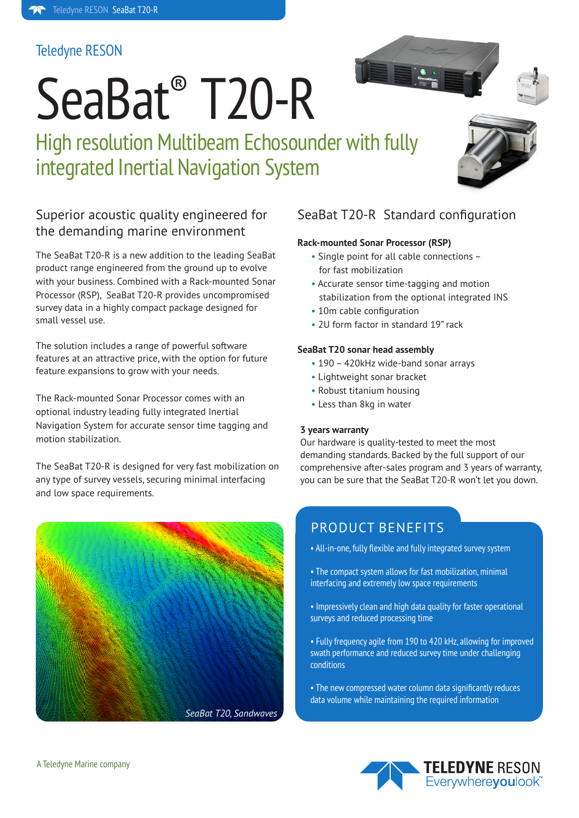#### Teledyne RESON

# SeaBat® T20-R

High resolution Multibeam Echosounder with fully integrated Inertial Navigation System



#### Superior acoustic quality engineered for the demanding marine environment

The SeaBat T20-R is a new addition to the leading SeaBat product range engineered from the ground up to evolve with your business. Combined with a Rack-mounted Sonar Processor (RSP), SeaBat T20-R provides uncompromised survey data in a highly compact package designed for small vessel use.

The solution includes a range of powerful software features at an attractive price, with the option for future feature expansions to grow with your needs.

The Rack-mounted Sonar Processor comes with an optional industry leading fully integrated Inertial Navigation System for accurate sensor time tagging and motion stabilization.

The SeaBat T20-R is designed for very fast mobilization on any type of survey vessels, securing minimal interfacing and low space requirements.



#### SeaBat T20-R Standard configuration

#### **Rack-mounted Sonar Processor (RSP)**

- Single point for all cable connections for fast mobilization
- Accurate sensor time-tagging and motion stabilization from the optional integrated INS
- 10m cable configuration
- 2U form factor in standard 19" rack

#### **SeaBat T20 sonar head assembly**

- 190 420kHz wide-band sonar arrays
- Lightweight sonar bracket
- Robust titanium housing
- Less than 8kg in water

#### **3 years warranty**

Our hardware is quality-tested to meet the most demanding standards. Backed by the full support of our comprehensive after-sales program and 3 years of warranty, you can be sure that the SeaBat T20-R won't let you down.

#### PRODUCT BENEFITS

- All-in-one, fully flexible and fully integrated survey system
- The compact system allows for fast mobilization, minimal interfacing and extremely low space requirements
- Impressively clean and high data quality for faster operational surveys and reduced processing time
- Fully frequency agile from 190 to 420 kHz, allowing for improved swath performance and reduced survey time under challenging conditions
- The new compressed water column data significantly reduces data volume while maintaining the required information